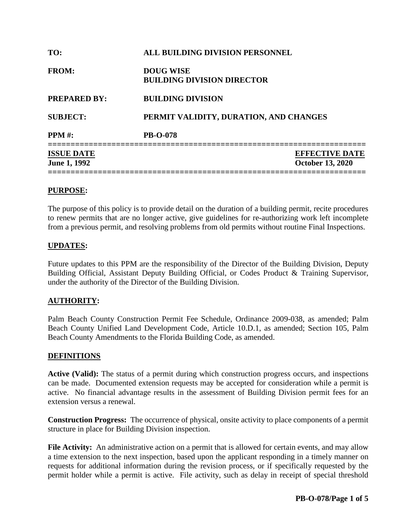| TO:                                      | ALL BUILDING DIVISION PERSONNEL                       |                                                  |
|------------------------------------------|-------------------------------------------------------|--------------------------------------------------|
| <b>FROM:</b>                             | <b>DOUG WISE</b><br><b>BUILDING DIVISION DIRECTOR</b> |                                                  |
| <b>PREPARED BY:</b>                      | <b>BUILDING DIVISION</b>                              |                                                  |
| <b>SUBJECT:</b>                          | PERMIT VALIDITY, DURATION, AND CHANGES                |                                                  |
| <b>PPM</b> #:                            | <b>PB-O-078</b>                                       |                                                  |
| <b>ISSUE DATE</b><br><b>June 1, 1992</b> |                                                       | <b>EFFECTIVE DATE</b><br><b>October 13, 2020</b> |

#### **PURPOSE:**

The purpose of this policy is to provide detail on the duration of a building permit, recite procedures to renew permits that are no longer active, give guidelines for re-authorizing work left incomplete from a previous permit, and resolving problems from old permits without routine Final Inspections.

### **UPDATES:**

Future updates to this PPM are the responsibility of the Director of the Building Division, Deputy Building Official, Assistant Deputy Building Official, or Codes Product & Training Supervisor, under the authority of the Director of the Building Division.

## **AUTHORITY:**

Palm Beach County Construction Permit Fee Schedule, Ordinance 2009-038, as amended; Palm Beach County Unified Land Development Code, Article 10.D.1, as amended; Section 105, Palm Beach County Amendments to the Florida Building Code, as amended.

#### **DEFINITIONS**

**Active (Valid):** The status of a permit during which construction progress occurs, and inspections can be made. Documented extension requests may be accepted for consideration while a permit is active. No financial advantage results in the assessment of Building Division permit fees for an extension versus a renewal.

**Construction Progress:** The occurrence of physical, onsite activity to place components of a permit structure in place for Building Division inspection.

**File Activity:** An administrative action on a permit that is allowed for certain events, and may allow a time extension to the next inspection, based upon the applicant responding in a timely manner on requests for additional information during the revision process, or if specifically requested by the permit holder while a permit is active. File activity, such as delay in receipt of special threshold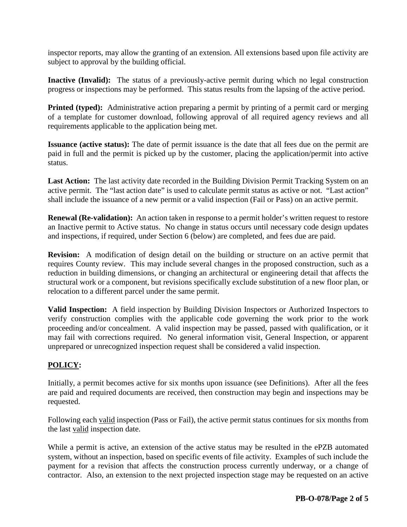inspector reports, may allow the granting of an extension. All extensions based upon file activity are subject to approval by the building official.

**Inactive (Invalid):** The status of a previously-active permit during which no legal construction progress or inspections may be performed. This status results from the lapsing of the active period.

**Printed (typed):** Administrative action preparing a permit by printing of a permit card or merging of a template for customer download, following approval of all required agency reviews and all requirements applicable to the application being met.

**Issuance (active status):** The date of permit issuance is the date that all fees due on the permit are paid in full and the permit is picked up by the customer, placing the application/permit into active status.

**Last Action:** The last activity date recorded in the Building Division Permit Tracking System on an active permit. The "last action date" is used to calculate permit status as active or not. "Last action" shall include the issuance of a new permit or a valid inspection (Fail or Pass) on an active permit.

**Renewal (Re-validation):** An action taken in response to a permit holder's written request to restore an Inactive permit to Active status. No change in status occurs until necessary code design updates and inspections, if required, under Section 6 (below) are completed, and fees due are paid.

**Revision:** A modification of design detail on the building or structure on an active permit that requires County review. This may include several changes in the proposed construction, such as a reduction in building dimensions, or changing an architectural or engineering detail that affects the structural work or a component, but revisions specifically exclude substitution of a new floor plan, or relocation to a different parcel under the same permit.

**Valid Inspection:** A field inspection by Building Division Inspectors or Authorized Inspectors to verify construction complies with the applicable code governing the work prior to the work proceeding and/or concealment. A valid inspection may be passed, passed with qualification, or it may fail with corrections required. No general information visit, General Inspection, or apparent unprepared or unrecognized inspection request shall be considered a valid inspection.

## **POLICY:**

Initially, a permit becomes active for six months upon issuance (see Definitions). After all the fees are paid and required documents are received, then construction may begin and inspections may be requested.

Following each valid inspection (Pass or Fail), the active permit status continues for six months from the last valid inspection date.

While a permit is active, an extension of the active status may be resulted in the ePZB automated system, without an inspection, based on specific events of file activity. Examples of such include the payment for a revision that affects the construction process currently underway, or a change of contractor. Also, an extension to the next projected inspection stage may be requested on an active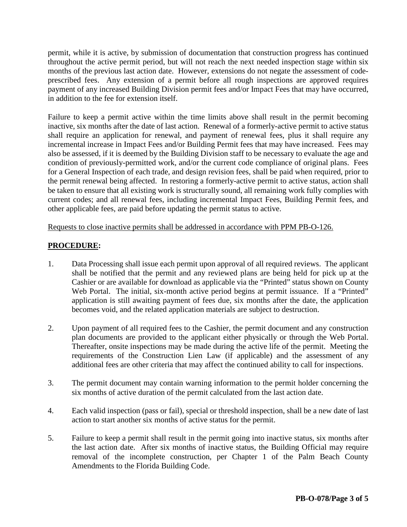permit, while it is active, by submission of documentation that construction progress has continued throughout the active permit period, but will not reach the next needed inspection stage within six months of the previous last action date. However, extensions do not negate the assessment of codeprescribed fees. Any extension of a permit before all rough inspections are approved requires payment of any increased Building Division permit fees and/or Impact Fees that may have occurred, in addition to the fee for extension itself.

Failure to keep a permit active within the time limits above shall result in the permit becoming inactive, six months after the date of last action. Renewal of a formerly-active permit to active status shall require an application for renewal, and payment of renewal fees, plus it shall require any incremental increase in Impact Fees and/or Building Permit fees that may have increased. Fees may also be assessed, if it is deemed by the Building Division staff to be necessary to evaluate the age and condition of previously-permitted work, and/or the current code compliance of original plans. Fees for a General Inspection of each trade, and design revision fees, shall be paid when required, prior to the permit renewal being affected. In restoring a formerly-active permit to active status, action shall be taken to ensure that all existing work is structurally sound, all remaining work fully complies with current codes; and all renewal fees, including incremental Impact Fees, Building Permit fees, and other applicable fees, are paid before updating the permit status to active.

Requests to close inactive permits shall be addressed in accordance with PPM PB-O-126.

## **PROCEDURE:**

- 1. Data Processing shall issue each permit upon approval of all required reviews. The applicant shall be notified that the permit and any reviewed plans are being held for pick up at the Cashier or are available for download as applicable via the "Printed" status shown on County Web Portal. The initial, six-month active period begins at permit issuance. If a "Printed" application is still awaiting payment of fees due, six months after the date, the application becomes void, and the related application materials are subject to destruction.
- 2. Upon payment of all required fees to the Cashier, the permit document and any construction plan documents are provided to the applicant either physically or through the Web Portal. Thereafter, onsite inspections may be made during the active life of the permit. Meeting the requirements of the Construction Lien Law (if applicable) and the assessment of any additional fees are other criteria that may affect the continued ability to call for inspections.
- 3. The permit document may contain warning information to the permit holder concerning the six months of active duration of the permit calculated from the last action date.
- 4. Each valid inspection (pass or fail), special or threshold inspection, shall be a new date of last action to start another six months of active status for the permit.
- 5. Failure to keep a permit shall result in the permit going into inactive status, six months after the last action date. After six months of inactive status, the Building Official may require removal of the incomplete construction, per Chapter 1 of the Palm Beach County Amendments to the Florida Building Code.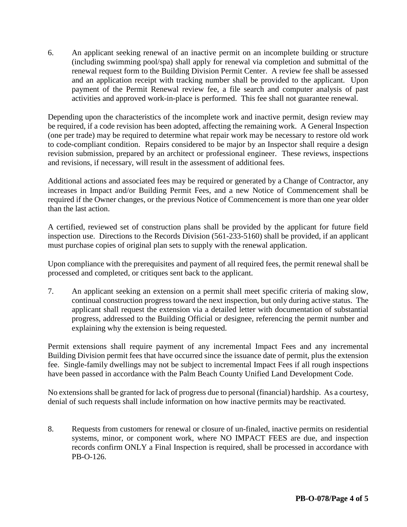6. An applicant seeking renewal of an inactive permit on an incomplete building or structure (including swimming pool/spa) shall apply for renewal via completion and submittal of the renewal request form to the Building Division Permit Center. A review fee shall be assessed and an application receipt with tracking number shall be provided to the applicant. Upon payment of the Permit Renewal review fee, a file search and computer analysis of past activities and approved work-in-place is performed. This fee shall not guarantee renewal.

Depending upon the characteristics of the incomplete work and inactive permit, design review may be required, if a code revision has been adopted, affecting the remaining work. A General Inspection (one per trade) may be required to determine what repair work may be necessary to restore old work to code-compliant condition. Repairs considered to be major by an Inspector shall require a design revision submission, prepared by an architect or professional engineer. These reviews, inspections and revisions, if necessary, will result in the assessment of additional fees.

Additional actions and associated fees may be required or generated by a Change of Contractor, any increases in Impact and/or Building Permit Fees, and a new Notice of Commencement shall be required if the Owner changes, or the previous Notice of Commencement is more than one year older than the last action.

A certified, reviewed set of construction plans shall be provided by the applicant for future field inspection use. Directions to the Records Division (561-233-5160) shall be provided, if an applicant must purchase copies of original plan sets to supply with the renewal application.

Upon compliance with the prerequisites and payment of all required fees, the permit renewal shall be processed and completed, or critiques sent back to the applicant.

7. An applicant seeking an extension on a permit shall meet specific criteria of making slow, continual construction progress toward the next inspection, but only during active status. The applicant shall request the extension via a detailed letter with documentation of substantial progress, addressed to the Building Official or designee, referencing the permit number and explaining why the extension is being requested.

Permit extensions shall require payment of any incremental Impact Fees and any incremental Building Division permit fees that have occurred since the issuance date of permit, plus the extension fee. Single-family dwellings may not be subject to incremental Impact Fees if all rough inspections have been passed in accordance with the Palm Beach County Unified Land Development Code.

No extensions shall be granted for lack of progress due to personal (financial) hardship. As a courtesy, denial of such requests shall include information on how inactive permits may be reactivated.

8. Requests from customers for renewal or closure of un-finaled, inactive permits on residential systems, minor, or component work, where NO IMPACT FEES are due, and inspection records confirm ONLY a Final Inspection is required, shall be processed in accordance with PB-O-126.